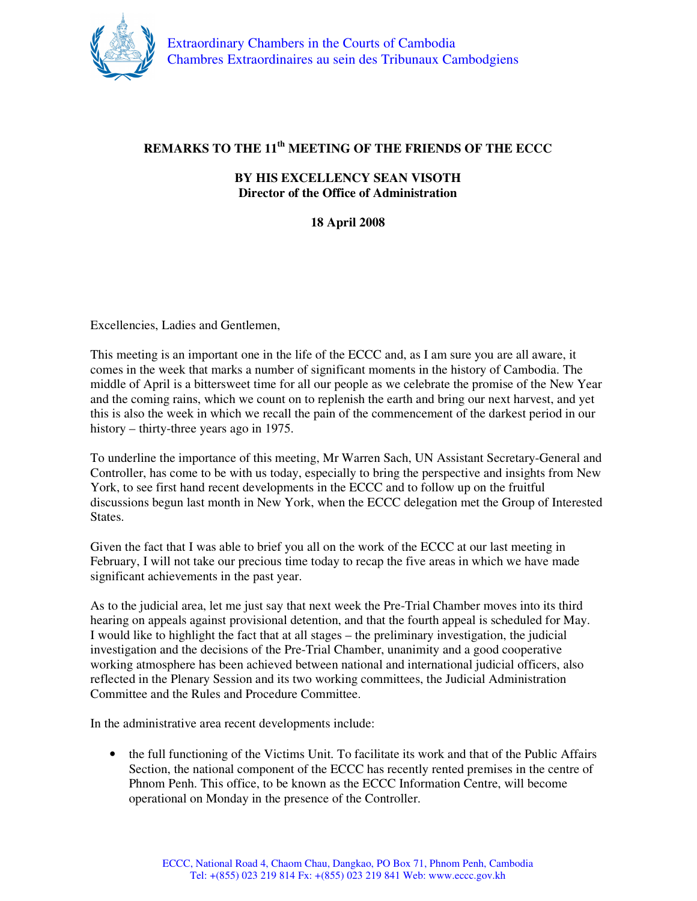

## **REMARKS TO THE 11th MEETING OF THE FRIENDS OF THE ECCC**

## **BY HIS EXCELLENCY SEAN VISOTH Director of the Office of Administration**

## **18 April 2008**

Excellencies, Ladies and Gentlemen,

This meeting is an important one in the life of the ECCC and, as I am sure you are all aware, it comes in the week that marks a number of significant moments in the history of Cambodia. The middle of April is a bittersweet time for all our people as we celebrate the promise of the New Year and the coming rains, which we count on to replenish the earth and bring our next harvest, and yet this is also the week in which we recall the pain of the commencement of the darkest period in our history – thirty-three years ago in 1975.

To underline the importance of this meeting, Mr Warren Sach, UN Assistant Secretary-General and Controller, has come to be with us today, especially to bring the perspective and insights from New York, to see first hand recent developments in the ECCC and to follow up on the fruitful discussions begun last month in New York, when the ECCC delegation met the Group of Interested States.

Given the fact that I was able to brief you all on the work of the ECCC at our last meeting in February, I will not take our precious time today to recap the five areas in which we have made significant achievements in the past year.

As to the judicial area, let me just say that next week the Pre-Trial Chamber moves into its third hearing on appeals against provisional detention, and that the fourth appeal is scheduled for May. I would like to highlight the fact that at all stages – the preliminary investigation, the judicial investigation and the decisions of the Pre-Trial Chamber, unanimity and a good cooperative working atmosphere has been achieved between national and international judicial officers, also reflected in the Plenary Session and its two working committees, the Judicial Administration Committee and the Rules and Procedure Committee.

In the administrative area recent developments include:

• the full functioning of the Victims Unit. To facilitate its work and that of the Public Affairs Section, the national component of the ECCC has recently rented premises in the centre of Phnom Penh. This office, to be known as the ECCC Information Centre, will become operational on Monday in the presence of the Controller.